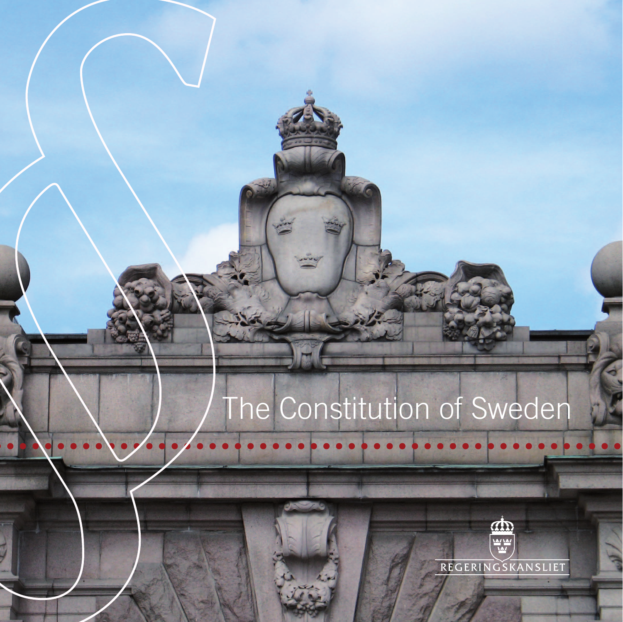# The Constitution of Sweden

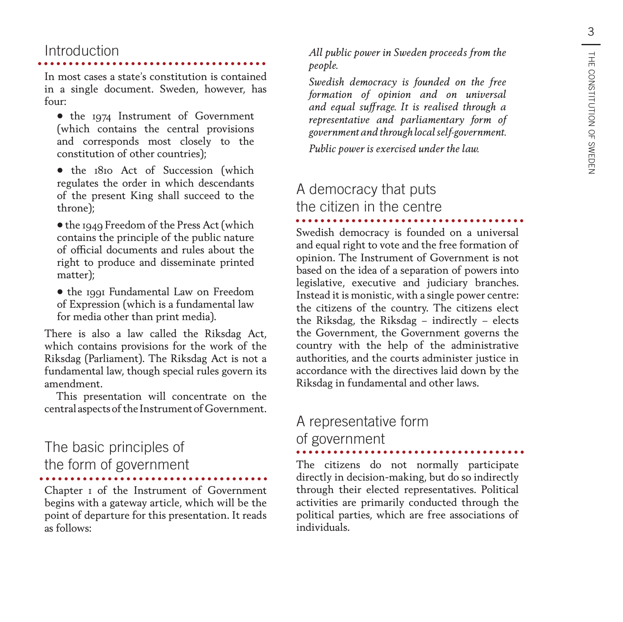### Introduction

#### In most cases a state's constitution is contained in a single document. Sweden, however, has  $f_{011}r$

- the 1974 Instrument of Government (which contains the central provisions and corresponds most closely to the constitution of other countries);
- the 1810 Act of Succession (which regulates the order in which descendants of the present King shall succeed to the throne);

• the 1949 Freedom of the Press Act (which contains the principle of the public nature of official documents and rules about the right to produce and disseminate printed matter);

• the 1991 Fundamental Law on Freedom of Expression (which is a fundamental law for media other than print media).

There is also a law called the Riksdag Act, which contains provisions for the work of the Riksdag (Parliament). The Riksdag Act is not a fundamental law, though special rules govern its amendment.

This presentation will concentrate on the central aspects of the Instrument of Government.

### The basic principles of the form of government

Chapter 1 of the Instrument of Government begins with a gateway article, which will be the point of departure for this presentation. It reads as follows:

*All public power in Sweden proceeds from the people.*

*Swedish democracy is founded on the free formation of opinion and on universal and equal suffrage. It is realised through a representative and parliamentary form of government and through local self-government.*

*Public power is exercised under the law.*

### A democracy that puts the citizen in the centre

Swedish democracy is founded on a universal and equal right to vote and the free formation of opinion. The Instrument of Government is not based on the idea of a separation of powers into legislative, executive and judiciary branches. Instead it is monistic, with a single power centre: the citizens of the country. The citizens elect the Riksdag, the Riksdag – indirectly – elects the Government, the Government governs the country with the help of the administrative authorities, and the courts administer justice in accordance with the directives laid down by the Riksdag in fundamental and other laws.

#### A representative form of government

The citizens do not normally participate directly in decision-making, but do so indirectly through their elected representatives. Political activities are primarily conducted through the political parties, which are free associations of individuals.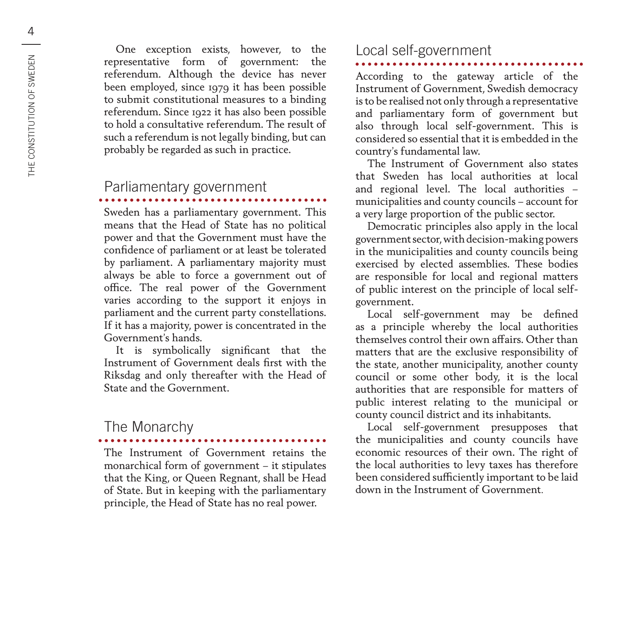One exception exists, however, to the representative form of government: the referendum. Although the device has never been employed, since 1979 it has been possible to submit constitutional measures to a binding referendum. Since 1922 it has also been possible to hold a consultative referendum. The result of such a referendum is not legally binding, but can probably be regarded as such in practice.

### Parliamentary government

Sweden has a parliamentary government. This means that the Head of State has no political power and that the Government must have the confidence of parliament or at least be tolerated by parliament. A parliamentary majority must always be able to force a government out of office. The real power of the Government varies according to the support it enjoys in parliament and the current party constellations. If it has a majority, power is concentrated in the Government's hands.

It is symbolically significant that the Instrument of Government deals first with the Riksdag and only thereafter with the Head of State and the Government.

### The Monarchy

The Instrument of Government retains the monarchical form of government – it stipulates that the King, or Queen Regnant, shall be Head of State. But in keeping with the parliamentary principle, the Head of State has no real power.

### Local self-government

According to the gateway article of the

Instrument of Government, Swedish democracy is to be realised not only through a representative and parliamentary form of government but also through local self-government. This is considered so essential that it is embedded in the country's fundamental law.

The Instrument of Government also states that Sweden has local authorities at local and regional level. The local authorities – municipalities and county councils – account for a very large proportion of the public sector.

Democratic principles also apply in the local government sector, with decision-making powers in the municipalities and county councils being exercised by elected assemblies. These bodies are responsible for local and regional matters of public interest on the principle of local selfgovernment.

Local self-government may be defined as a principle whereby the local authorities themselves control their own affairs. Other than matters that are the exclusive responsibility of the state, another municipality, another county council or some other body, it is the local authorities that are responsible for matters of public interest relating to the municipal or county council district and its inhabitants.

Local self-government presupposes that the municipalities and county councils have economic resources of their own. The right of the local authorities to levy taxes has therefore been considered sufficiently important to be laid down in the Instrument of Government.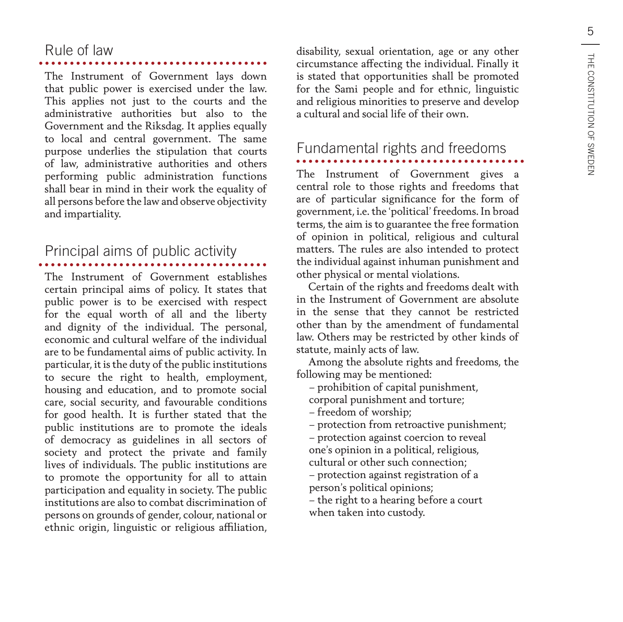### Rule of law

The Instrument of Government lays down that public power is exercised under the law. This applies not just to the courts and the administrative authorities but also to the Government and the Riksdag. It applies equally to local and central government. The same purpose underlies the stipulation that courts of law, administrative authorities and others performing public administration functions shall bear in mind in their work the equality of all persons before the law and observe objectivity and impartiality.

## Principal aims of public activity

The Instrument of Government establishes certain principal aims of policy. It states that public power is to be exercised with respect for the equal worth of all and the liberty and dignity of the individual. The personal, economic and cultural welfare of the individual are to be fundamental aims of public activity. In particular, it is the duty of the public institutions to secure the right to health, employment, housing and education, and to promote social care, social security, and favourable conditions for good health. It is further stated that the public institutions are to promote the ideals of democracy as guidelines in all sectors of society and protect the private and family lives of individuals. The public institutions are to promote the opportunity for all to attain participation and equality in society. The public institutions are also to combat discrimination of persons on grounds of gender, colour, national or ethnic origin, linguistic or religious affiliation,

disability, sexual orientation, age or any other circumstance affecting the individual. Finally it is stated that opportunities shall be promoted for the Sami people and for ethnic, linguistic and religious minorities to preserve and develop a cultural and social life of their own.

## Fundamental rights and freedoms

The Instrument of Government gives a central role to those rights and freedoms that are of particular significance for the form of government, i.e. the 'political' freedoms. In broad terms, the aim is to guarantee the free formation of opinion in political, religious and cultural matters. The rules are also intended to protect the individual against inhuman punishment and other physical or mental violations.

Certain of the rights and freedoms dealt with in the Instrument of Government are absolute in the sense that they cannot be restricted other than by the amendment of fundamental law. Others may be restricted by other kinds of statute, mainly acts of law.

Among the absolute rights and freedoms, the following may be mentioned:

– prohibition of capital punishment,

corporal punishment and torture;

– freedom of worship;

– protection from retroactive punishment;

– protection against coercion to reveal one's opinion in a political, religious, cultural or other such connection;

– protection against registration of a person's political opinions;

– the right to a hearing before a court when taken into custody.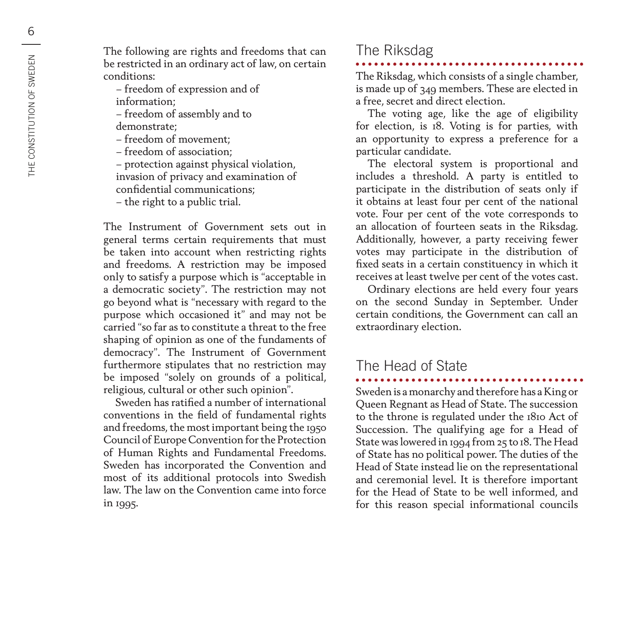The following are rights and freedoms that can be restricted in an ordinary act of law, on certain conditions:

– freedom of expression and of

information;

– freedom of assembly and to demonstrate;

– freedom of movement;

– freedom of association;

– protection against physical violation, invasion of privacy and examination of confidential communications;

– the right to a public trial.

The Instrument of Government sets out in general terms certain requirements that must be taken into account when restricting rights and freedoms. A restriction may be imposed only to satisfy a purpose which is "acceptable in a democratic society". The restriction may not go beyond what is "necessary with regard to the purpose which occasioned it" and may not be carried "so far as to constitute a threat to the free shaping of opinion as one of the fundaments of democracy". The Instrument of Government furthermore stipulates that no restriction may be imposed "solely on grounds of a political, religious, cultural or other such opinion".

Sweden has ratified a number of international conventions in the field of fundamental rights and freedoms, the most important being the 1950 Council of Europe Convention for the Protection of Human Rights and Fundamental Freedoms. Sweden has incorporated the Convention and most of its additional protocols into Swedish law. The law on the Convention came into force in 1995.

### The Riksdag

The Riksdag, which consists of a single chamber, is made up of 349 members. These are elected in a free, secret and direct election.

The voting age, like the age of eligibility for election, is 18. Voting is for parties, with an opportunity to express a preference for a particular candidate.

The electoral system is proportional and includes a threshold. A party is entitled to participate in the distribution of seats only if it obtains at least four per cent of the national vote. Four per cent of the vote corresponds to an allocation of fourteen seats in the Riksdag. Additionally, however, a party receiving fewer votes may participate in the distribution of fixed seats in a certain constituency in which it receives at least twelve per cent of the votes cast.

Ordinary elections are held every four years on the second Sunday in September. Under certain conditions, the Government can call an extraordinary election.

### The Head of State

Sweden is a monarchy and therefore has a King or Queen Regnant as Head of State. The succession to the throne is regulated under the 1810 Act of Succession. The qualifying age for a Head of State was lowered in 1994 from 25 to 18. The Head of State has no political power. The duties of the Head of State instead lie on the representational and ceremonial level. It is therefore important for the Head of State to be well informed, and for this reason special informational councils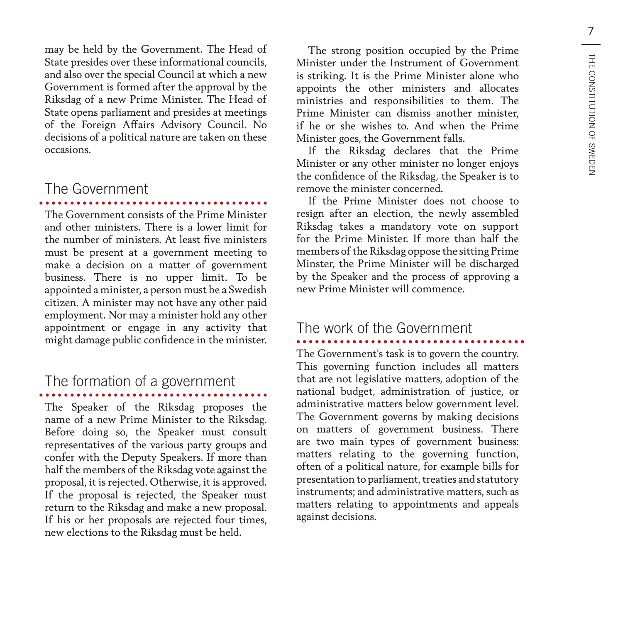may be held by the Government. The Head of State presides over these informational councils, and also over the special Council at which a new Government is formed after the approval by the Riksdag of a new Prime Minister. The Head of State opens parliament and presides at meetings of the Foreign Affairs Advisory Council. No decisions of a political nature are taken on these occasions.

### The Government

The Government consists of the Prime Minister and other ministers. There is a lower limit for the number of ministers. At least five ministers must be present at a government meeting to make a decision on a matter of government business. There is no upper limit. To be appointed a minister, a person must be a Swedish citizen. A minister may not have any other paid employment. Nor may a minister hold any other appointment or engage in any activity that might damage public confidence in the minister.

## The formation of a government

The Speaker of the Riksdag proposes the name of a new Prime Minister to the Riksdag. Before doing so, the Speaker must consult representatives of the various party groups and confer with the Deputy Speakers. If more than half the members of the Riksdag vote against the proposal, it is rejected. Otherwise, it is approved. If the proposal is rejected, the Speaker must return to the Riksdag and make a new proposal. If his or her proposals are rejected four times, new elections to the Riksdag must be held.

The strong position occupied by the Prime Minister under the Instrument of Government is striking. It is the Prime Minister alone who appoints the other ministers and allocates ministries and responsibilities to them. The Prime Minister can dismiss another minister, if he or she wishes to. And when the Prime Minister goes, the Government falls.

If the Riksdag declares that the Prime Minister or any other minister no longer enjoys the confidence of the Riksdag, the Speaker is to remove the minister concerned.

If the Prime Minister does not choose to resign after an election, the newly assembled Riksdag takes a mandatory vote on support for the Prime Minister. If more than half the members of the Riksdag oppose the sitting Prime Minster, the Prime Minister will be discharged by the Speaker and the process of approving a new Prime Minister will commence.

### The work of the Government

The Government's task is to govern the country. This governing function includes all matters that are not legislative matters, adoption of the national budget, administration of justice, or administrative matters below government level. The Government governs by making decisions on matters of government business. There are two main types of government business: matters relating to the governing function, often of a political nature, for example bills for presentation to parliament, treaties and statutory instruments; and administrative matters, such as matters relating to appointments and appeals against decisions.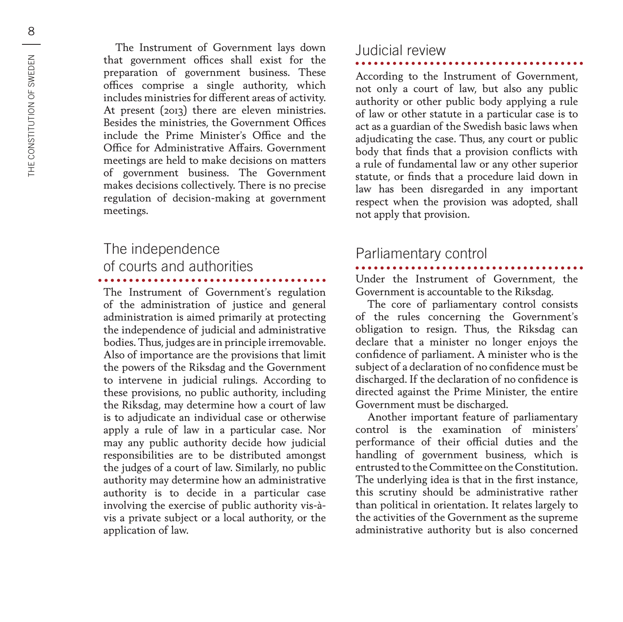The Instrument of Government lays down that government offices shall exist for the preparation of government business. These offices comprise a single authority, which includes ministries for different areas of activity. At present (2013) there are eleven ministries. Besides the ministries, the Government Offices include the Prime Minister's Office and the Office for Administrative Affairs. Government meetings are held to make decisions on matters of government business. The Government makes decisions collectively. There is no precise regulation of decision-making at government meetings.

### The independence of courts and authorities

The Instrument of Government's regulation of the administration of justice and general administration is aimed primarily at protecting the independence of judicial and administrative bodies. Thus, judges are in principle irremovable. Also of importance are the provisions that limit the powers of the Riksdag and the Government to intervene in judicial rulings. According to these provisions, no public authority, including the Riksdag, may determine how a court of law is to adjudicate an individual case or otherwise apply a rule of law in a particular case. Nor may any public authority decide how judicial responsibilities are to be distributed amongst the judges of a court of law. Similarly, no public authority may determine how an administrative authority is to decide in a particular case involving the exercise of public authority vis-àvis a private subject or a local authority, or the application of law.

#### Judicial review

According to the Instrument of Government, not only a court of law, but also any public authority or other public body applying a rule of law or other statute in a particular case is to act as a guardian of the Swedish basic laws when adjudicating the case. Thus, any court or public body that finds that a provision conflicts with a rule of fundamental law or any other superior statute, or finds that a procedure laid down in law has been disregarded in any important respect when the provision was adopted, shall not apply that provision.

### Parliamentary control

Under the Instrument of Government, the Government is accountable to the Riksdag.

The core of parliamentary control consists of the rules concerning the Government's obligation to resign. Thus, the Riksdag can declare that a minister no longer enjoys the confidence of parliament. A minister who is the subject of a declaration of no confidence must be discharged. If the declaration of no confidence is directed against the Prime Minister, the entire Government must be discharged.

Another important feature of parliamentary control is the examination of ministers' performance of their official duties and the handling of government business, which is entrusted to the Committee on the Constitution. The underlying idea is that in the first instance, this scrutiny should be administrative rather than political in orientation. It relates largely to the activities of the Government as the supreme administrative authority but is also concerned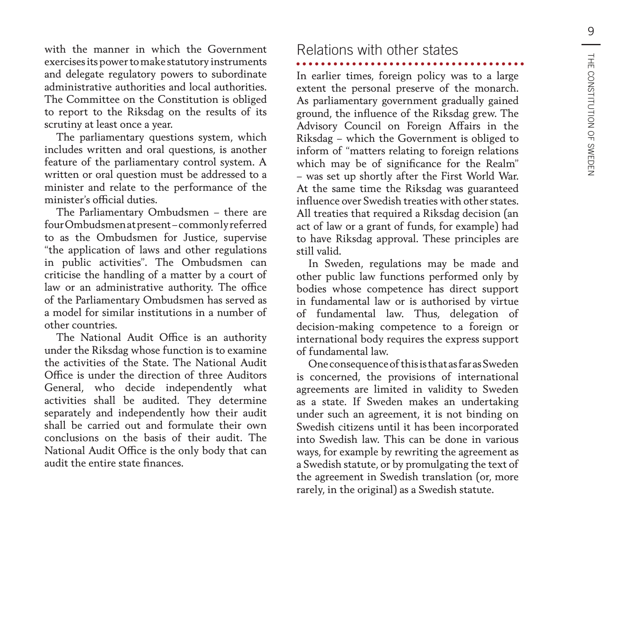with the manner in which the Government exercises its power to make statutory instruments and delegate regulatory powers to subordinate administrative authorities and local authorities. The Committee on the Constitution is obliged to report to the Riksdag on the results of its scrutiny at least once a year.

The parliamentary questions system, which includes written and oral questions, is another feature of the parliamentary control system. A written or oral question must be addressed to a minister and relate to the performance of the minister's official duties.

The Parliamentary Ombudsmen – there are four Ombudsmen at present – commonly referred to as the Ombudsmen for Justice, supervise "the application of laws and other regulations in public activities". The Ombudsmen can criticise the handling of a matter by a court of law or an administrative authority. The office of the Parliamentary Ombudsmen has served as a model for similar institutions in a number of other countries.

The National Audit Office is an authority under the Riksdag whose function is to examine the activities of the State. The National Audit Office is under the direction of three Auditors General, who decide independently what activities shall be audited. They determine separately and independently how their audit shall be carried out and formulate their own conclusions on the basis of their audit. The National Audit Office is the only body that can audit the entire state finances.

### Relations with other states

In earlier times, foreign policy was to a large extent the personal preserve of the monarch. As parliamentary government gradually gained ground, the influence of the Riksdag grew. The Advisory Council on Foreign Affairs in the Riksdag – which the Government is obliged to inform of "matters relating to foreign relations which may be of significance for the Realm" – was set up shortly after the First World War. At the same time the Riksdag was guaranteed influence over Swedish treaties with other states. All treaties that required a Riksdag decision (an act of law or a grant of funds, for example) had to have Riksdag approval. These principles are still valid.

In Sweden, regulations may be made and other public law functions performed only by bodies whose competence has direct support in fundamental law or is authorised by virtue of fundamental law. Thus, delegation of decision-making competence to a foreign or international body requires the express support of fundamental law.

One consequence of this is that as far as Sweden is concerned, the provisions of international agreements are limited in validity to Sweden as a state. If Sweden makes an undertaking under such an agreement, it is not binding on Swedish citizens until it has been incorporated into Swedish law. This can be done in various ways, for example by rewriting the agreement as a Swedish statute, or by promulgating the text of the agreement in Swedish translation (or, more rarely, in the original) as a Swedish statute.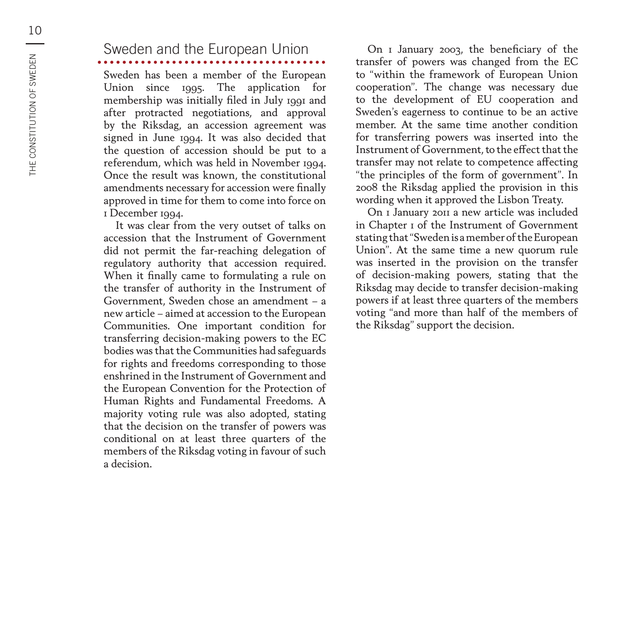Sweden has been a member of the European Union since 1995. The application for membership was initially filed in July 1991 and after protracted negotiations, and approval by the Riksdag, an accession agreement was signed in June 1994. It was also decided that the question of accession should be put to a referendum, which was held in November 1994. Once the result was known, the constitutional amendments necessary for accession were finally approved in time for them to come into force on 1 December 1994.

It was clear from the very outset of talks on accession that the Instrument of Government did not permit the far-reaching delegation of regulatory authority that accession required. When it finally came to formulating a rule on the transfer of authority in the Instrument of Government, Sweden chose an amendment – a new article – aimed at accession to the European Communities. One important condition for transferring decision-making powers to the EC bodies was that the Communities had safeguards for rights and freedoms corresponding to those enshrined in the Instrument of Government and the European Convention for the Protection of Human Rights and Fundamental Freedoms. A majority voting rule was also adopted, stating that the decision on the transfer of powers was conditional on at least three quarters of the members of the Riksdag voting in favour of such a decision.

On 1 January 2003, the beneficiary of the transfer of powers was changed from the EC to "within the framework of European Union cooperation". The change was necessary due to the development of EU cooperation and Sweden's eagerness to continue to be an active member. At the same time another condition for transferring powers was inserted into the Instrument of Government, to the effect that the transfer may not relate to competence affecting "the principles of the form of government". In 2008 the Riksdag applied the provision in this wording when it approved the Lisbon Treaty.

On 1 January 2011 a new article was included in Chapter 1 of the Instrument of Government stating that "Sweden is a member of the European Union". At the same time a new quorum rule was inserted in the provision on the transfer of decision-making powers, stating that the Riksdag may decide to transfer decision-making powers if at least three quarters of the members voting "and more than half of the members of the Riksdag" support the decision.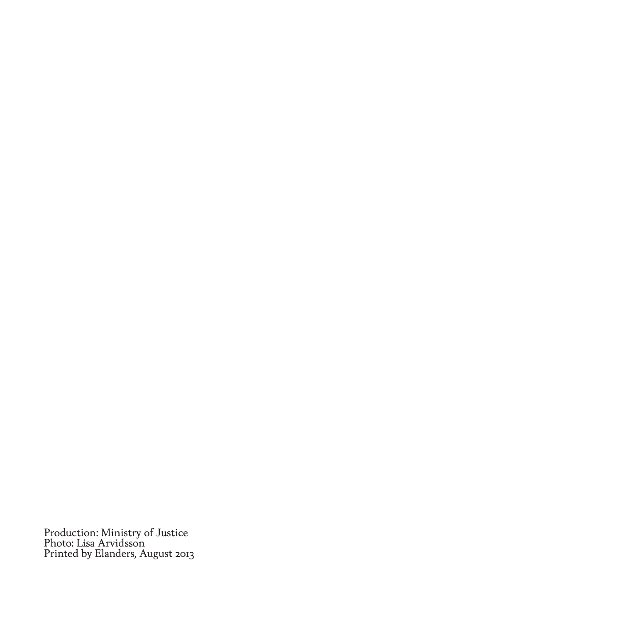Production: Ministry of Justice Photo: Lisa Arvidsson Printed by Elanders, August 2013